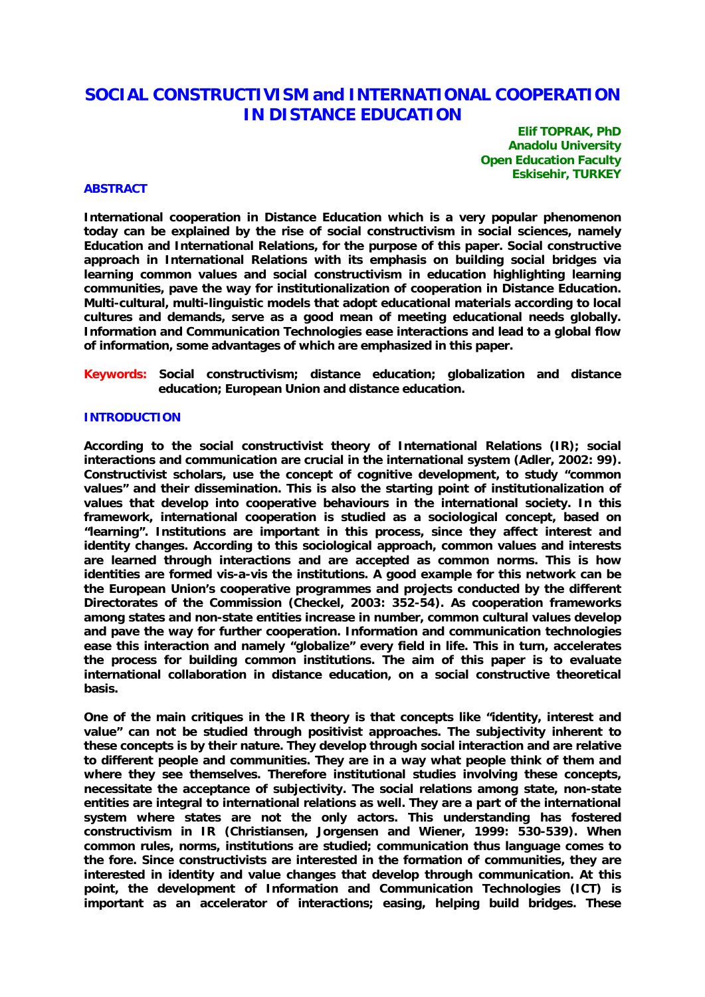# **SOCIAL CONSTRUCTIVISM and INTERNATIONAL COOPERATION IN DISTANCE EDUCATION**

**Elif TOPRAK, PhD Anadolu University Open Education Faculty Eskisehir, TURKEY** 

# **ABSTRACT**

**International cooperation in Distance Education which is a very popular phenomenon today can be explained by the rise of social constructivism in social sciences, namely Education and International Relations, for the purpose of this paper. Social constructive approach in International Relations with its emphasis on building social bridges via learning common values and social constructivism in education highlighting learning communities, pave the way for institutionalization of cooperation in Distance Education. Multi-cultural, multi-linguistic models that adopt educational materials according to local cultures and demands, serve as a good mean of meeting educational needs globally. Information and Communication Technologies ease interactions and lead to a global flow of information, some advantages of which are emphasized in this paper.** 

**Keywords: Social constructivism; distance education; globalization and distance education; European Union and distance education.** 

# **INTRODUCTION**

**According to the social constructivist theory of International Relations (IR); social interactions and communication are crucial in the international system (Adler, 2002: 99). Constructivist scholars, use the concept of cognitive development, to study "common values" and their dissemination. This is also the starting point of institutionalization of values that develop into cooperative behaviours in the international society. In this framework, international cooperation is studied as a sociological concept, based on "learning". Institutions are important in this process, since they affect interest and identity changes. According to this sociological approach, common values and interests are learned through interactions and are accepted as common norms. This is how identities are formed vis-a-vis the institutions. A good example for this network can be the European Union's cooperative programmes and projects conducted by the different Directorates of the Commission (Checkel, 2003: 352-54). As cooperation frameworks among states and non-state entities increase in number, common cultural values develop and pave the way for further cooperation. Information and communication technologies ease this interaction and namely "globalize" every field in life. This in turn, accelerates the process for building common institutions. The aim of this paper is to evaluate international collaboration in distance education, on a social constructive theoretical basis.** 

**One of the main critiques in the IR theory is that concepts like "identity, interest and value" can not be studied through positivist approaches. The subjectivity inherent to these concepts is by their nature. They develop through social interaction and are relative to different people and communities. They are in a way what people think of them and where they see themselves. Therefore institutional studies involving these concepts, necessitate the acceptance of subjectivity. The social relations among state, non-state entities are integral to international relations as well. They are a part of the international system where states are not the only actors. This understanding has fostered constructivism in IR (Christiansen, Jorgensen and Wiener, 1999: 530-539). When common rules, norms, institutions are studied; communication thus language comes to the fore. Since constructivists are interested in the formation of communities, they are interested in identity and value changes that develop through communication. At this point, the development of Information and Communication Technologies (ICT) is important as an accelerator of interactions; easing, helping build bridges. These**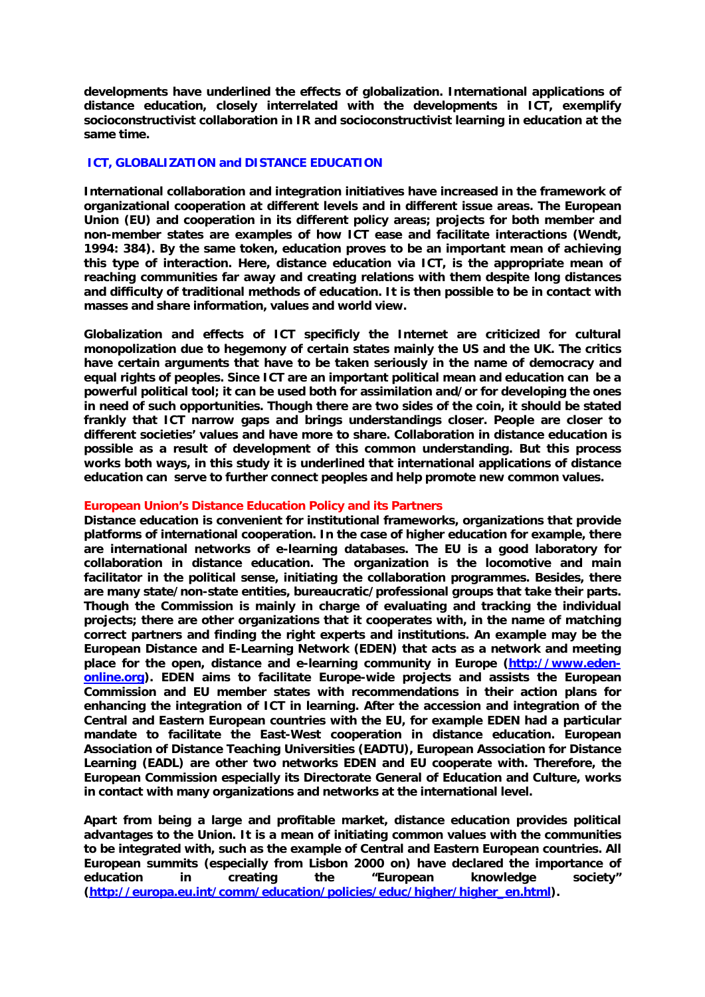**developments have underlined the effects of globalization. International applications of distance education, closely interrelated with the developments in ICT, exemplify socioconstructivist collaboration in IR and socioconstructivist learning in education at the same time.** 

## **ICT, GLOBALIZATION and DISTANCE EDUCATION**

**International collaboration and integration initiatives have increased in the framework of organizational cooperation at different levels and in different issue areas. The European Union (EU) and cooperation in its different policy areas; projects for both member and non-member states are examples of how ICT ease and facilitate interactions (Wendt, 1994: 384). By the same token, education proves to be an important mean of achieving this type of interaction. Here, distance education via ICT, is the appropriate mean of reaching communities far away and creating relations with them despite long distances and difficulty of traditional methods of education. It is then possible to be in contact with masses and share information, values and world view.** 

**Globalization and effects of ICT specificly the Internet are criticized for cultural monopolization due to hegemony of certain states mainly the US and the UK. The critics have certain arguments that have to be taken seriously in the name of democracy and equal rights of peoples. Since ICT are an important political mean and education can be a powerful political tool; it can be used both for assimilation and/or for developing the ones in need of such opportunities. Though there are two sides of the coin, it should be stated frankly that ICT narrow gaps and brings understandings closer. People are closer to different societies' values and have more to share. Collaboration in distance education is possible as a result of development of this common understanding. But this process works both ways, in this study it is underlined that international applications of distance education can serve to further connect peoples and help promote new common values.** 

### **European Union's Distance Education Policy and its Partners**

**Distance education is convenient for institutional frameworks, organizations that provide platforms of international cooperation. In the case of higher education for example, there are international networks of e-learning databases. The EU is a good laboratory for collaboration in distance education. The organization is the locomotive and main facilitator in the political sense, initiating the collaboration programmes. Besides, there are many state/non-state entities, bureaucratic/professional groups that take their parts. Though the Commission is mainly in charge of evaluating and tracking the individual projects; there are other organizations that it cooperates with, in the name of matching correct partners and finding the right experts and institutions. An example may be the European Distance and E-Learning Network (EDEN) that acts as a network and meeting**  place for the open, distance and e-learning community in Europe (http://www.eden**online.org). EDEN aims to facilitate Europe-wide projects and assists the European Commission and EU member states with recommendations in their action plans for enhancing the integration of ICT in learning. After the accession and integration of the Central and Eastern European countries with the EU, for example EDEN had a particular mandate to facilitate the East-West cooperation in distance education. European Association of Distance Teaching Universities (EADTU), European Association for Distance Learning (EADL) are other two networks EDEN and EU cooperate with. Therefore, the European Commission especially its Directorate General of Education and Culture, works in contact with many organizations and networks at the international level.** 

**Apart from being a large and profitable market, distance education provides political advantages to the Union. It is a mean of initiating common values with the communities to be integrated with, such as the example of Central and Eastern European countries. All European summits (especially from Lisbon 2000 on) have declared the importance of education in creating the "European knowledge society" (http://europa.eu.int/comm/education/policies/educ/higher/higher\_en.html).**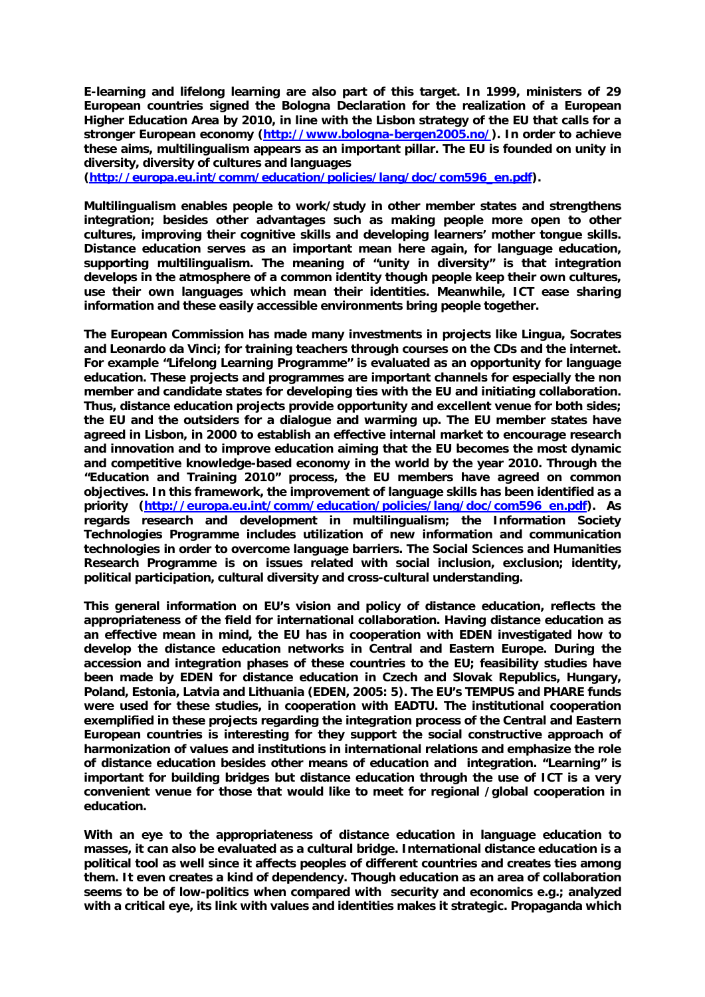**E-learning and lifelong learning are also part of this target. In 1999, ministers of 29 European countries signed the Bologna Declaration for the realization of a European Higher Education Area by 2010, in line with the Lisbon strategy of the EU that calls for a stronger European economy (http://www.bologna-bergen2005.no/). In order to achieve these aims, multilingualism appears as an important pillar. The EU is founded on unity in diversity, diversity of cultures and languages** 

**(http://europa.eu.int/comm/education/policies/lang/doc/com596\_en.pdf).** 

**Multilingualism enables people to work/study in other member states and strengthens integration; besides other advantages such as making people more open to other cultures, improving their cognitive skills and developing learners' mother tongue skills. Distance education serves as an important mean here again, for language education, supporting multilingualism. The meaning of "unity in diversity" is that integration develops in the atmosphere of a common identity though people keep their own cultures, use their own languages which mean their identities. Meanwhile, ICT ease sharing information and these easily accessible environments bring people together.** 

**The European Commission has made many investments in projects like Lingua, Socrates and Leonardo da Vinci; for training teachers through courses on the CDs and the internet. For example "Lifelong Learning Programme" is evaluated as an opportunity for language education. These projects and programmes are important channels for especially the non member and candidate states for developing ties with the EU and initiating collaboration. Thus, distance education projects provide opportunity and excellent venue for both sides; the EU and the outsiders for a dialogue and warming up. The EU member states have agreed in Lisbon, in 2000 to establish an effective internal market to encourage research and innovation and to improve education aiming that the EU becomes the most dynamic and competitive knowledge-based economy in the world by the year 2010. Through the "Education and Training 2010" process, the EU members have agreed on common objectives. In this framework, the improvement of language skills has been identified as a priority (http://europa.eu.int/comm/education/policies/lang/doc/com596\_en.pdf). As regards research and development in multilingualism; the Information Society Technologies Programme includes utilization of new information and communication technologies in order to overcome language barriers. The Social Sciences and Humanities Research Programme is on issues related with social inclusion, exclusion; identity, political participation, cultural diversity and cross-cultural understanding.** 

**This general information on EU's vision and policy of distance education, reflects the appropriateness of the field for international collaboration. Having distance education as an effective mean in mind, the EU has in cooperation with EDEN investigated how to develop the distance education networks in Central and Eastern Europe. During the accession and integration phases of these countries to the EU; feasibility studies have been made by EDEN for distance education in Czech and Slovak Republics, Hungary, Poland, Estonia, Latvia and Lithuania (EDEN, 2005: 5). The EU's TEMPUS and PHARE funds were used for these studies, in cooperation with EADTU. The institutional cooperation exemplified in these projects regarding the integration process of the Central and Eastern European countries is interesting for they support the social constructive approach of harmonization of values and institutions in international relations and emphasize the role of distance education besides other means of education and integration. "Learning" is important for building bridges but distance education through the use of ICT is a very convenient venue for those that would like to meet for regional /global cooperation in education.** 

**With an eye to the appropriateness of distance education in language education to masses, it can also be evaluated as a cultural bridge. International distance education is a political tool as well since it affects peoples of different countries and creates ties among them. It even creates a kind of dependency. Though education as an area of collaboration seems to be of low-politics when compared with security and economics e.g.; analyzed with a critical eye, its link with values and identities makes it strategic. Propaganda which**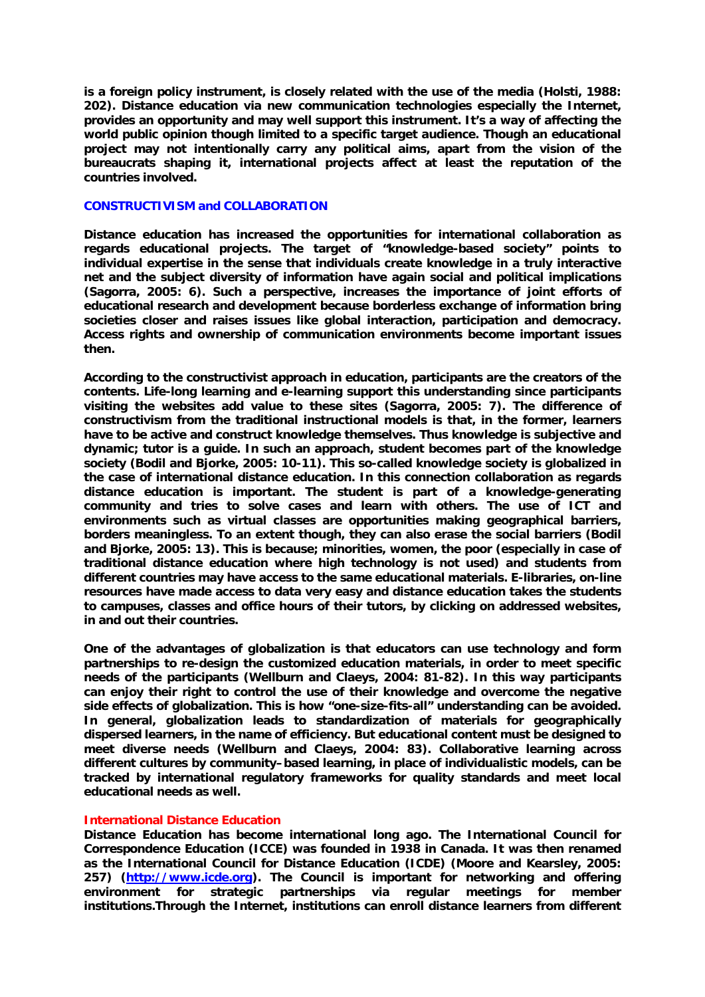**is a foreign policy instrument, is closely related with the use of the media (Holsti, 1988: 202). Distance education via new communication technologies especially the Internet, provides an opportunity and may well support this instrument. It's a way of affecting the world public opinion though limited to a specific target audience. Though an educational project may not intentionally carry any political aims, apart from the vision of the bureaucrats shaping it, international projects affect at least the reputation of the countries involved.** 

#### **CONSTRUCTIVISM and COLLABORATION**

**Distance education has increased the opportunities for international collaboration as regards educational projects. The target of "knowledge-based society" points to individual expertise in the sense that individuals create knowledge in a truly interactive net and the subject diversity of information have again social and political implications (Sagorra, 2005: 6). Such a perspective, increases the importance of joint efforts of educational research and development because borderless exchange of information bring societies closer and raises issues like global interaction, participation and democracy. Access rights and ownership of communication environments become important issues then.** 

**According to the constructivist approach in education, participants are the creators of the contents. Life-long learning and e-learning support this understanding since participants visiting the websites add value to these sites (Sagorra, 2005: 7). The difference of constructivism from the traditional instructional models is that, in the former, learners have to be active and construct knowledge themselves. Thus knowledge is subjective and dynamic; tutor is a guide. In such an approach, student becomes part of the knowledge society (Bodil and Bjorke, 2005: 10-11). This so-called knowledge society is globalized in the case of international distance education. In this connection collaboration as regards distance education is important. The student is part of a knowledge-generating community and tries to solve cases and learn with others. The use of ICT and environments such as virtual classes are opportunities making geographical barriers, borders meaningless. To an extent though, they can also erase the social barriers (Bodil and Bjorke, 2005: 13). This is because; minorities, women, the poor (especially in case of traditional distance education where high technology is not used) and students from different countries may have access to the same educational materials. E-libraries, on-line resources have made access to data very easy and distance education takes the students to campuses, classes and office hours of their tutors, by clicking on addressed websites, in and out their countries.** 

**One of the advantages of globalization is that educators can use technology and form partnerships to re-design the customized education materials, in order to meet specific needs of the participants (Wellburn and Claeys, 2004: 81-82). In this way participants can enjoy their right to control the use of their knowledge and overcome the negative side effects of globalization. This is how "one-size-fits-all" understanding can be avoided. In general, globalization leads to standardization of materials for geographically dispersed learners, in the name of efficiency. But educational content must be designed to meet diverse needs (Wellburn and Claeys, 2004: 83). Collaborative learning across different cultures by community–based learning, in place of individualistic models, can be tracked by international regulatory frameworks for quality standards and meet local educational needs as well.** 

#### **International Distance Education**

**Distance Education has become international long ago. The International Council for Correspondence Education (ICCE) was founded in 1938 in Canada. It was then renamed as the International Council for Distance Education (ICDE) (Moore and Kearsley, 2005: 257) (http://www.icde.org). The Council is important for networking and offering environment for strategic partnerships via regular meetings for member institutions.Through the Internet, institutions can enroll distance learners from different**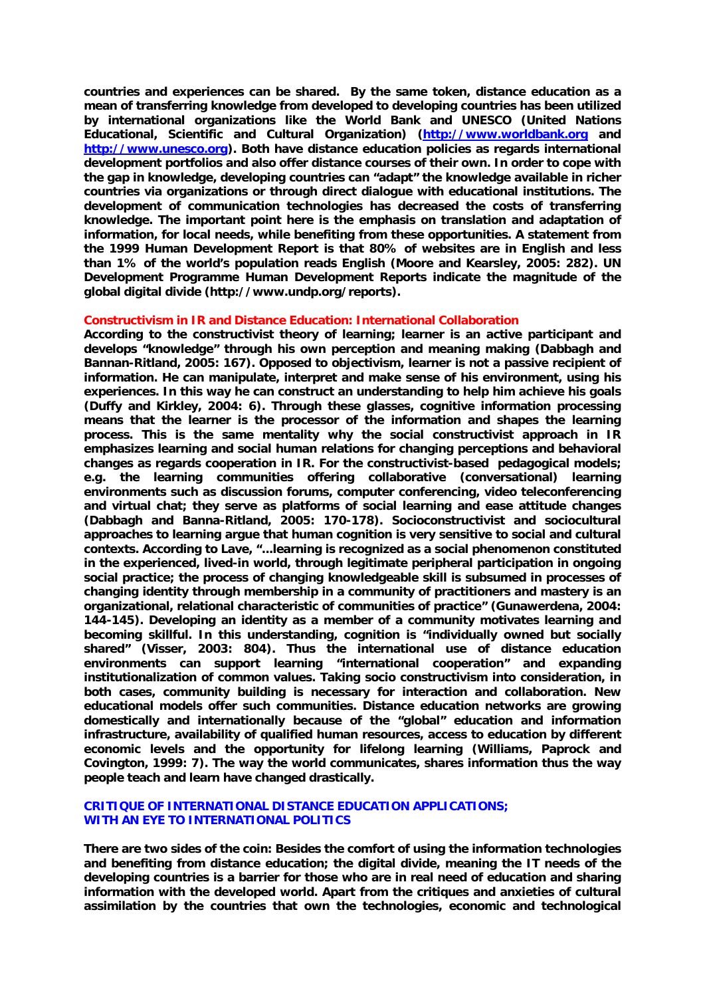**countries and experiences can be shared. By the same token, distance education as a mean of transferring knowledge from developed to developing countries has been utilized by international organizations like the World Bank and UNESCO (United Nations Educational, Scientific and Cultural Organization) (http://www.worldbank.org and http://www.unesco.org). Both have distance education policies as regards international development portfolios and also offer distance courses of their own. In order to cope with the gap in knowledge, developing countries can "adapt" the knowledge available in richer countries via organizations or through direct dialogue with educational institutions. The development of communication technologies has decreased the costs of transferring knowledge. The important point here is the emphasis on translation and adaptation of information, for local needs, while benefiting from these opportunities. A statement from the 1999 Human Development Report is that 80% of websites are in English and less than 1% of the world's population reads English (Moore and Kearsley, 2005: 282). UN Development Programme Human Development Reports indicate the magnitude of the global digital divide (http://www.undp.org/reports).** 

#### **Constructivism in IR and Distance Education: International Collaboration**

**According to the constructivist theory of learning; learner is an active participant and develops "knowledge" through his own perception and meaning making (Dabbagh and Bannan-Ritland, 2005: 167). Opposed to objectivism, learner is not a passive recipient of information. He can manipulate, interpret and make sense of his environment, using his experiences. In this way he can construct an understanding to help him achieve his goals (Duffy and Kirkley, 2004: 6). Through these glasses, cognitive information processing means that the learner is the processor of the information and shapes the learning process. This is the same mentality why the social constructivist approach in IR emphasizes learning and social human relations for changing perceptions and behavioral changes as regards cooperation in IR. For the constructivist-based pedagogical models; e.g. the learning communities offering collaborative (conversational) learning environments such as discussion forums, computer conferencing, video teleconferencing and virtual chat; they serve as platforms of social learning and ease attitude changes (Dabbagh and Banna-Ritland, 2005: 170-178). Socioconstructivist and sociocultural approaches to learning argue that human cognition is very sensitive to social and cultural contexts. According to Lave, "...learning is recognized as a social phenomenon constituted in the experienced, lived-in world, through legitimate peripheral participation in ongoing social practice; the process of changing knowledgeable skill is subsumed in processes of changing identity through membership in a community of practitioners and mastery is an organizational, relational characteristic of communities of practice" (Gunawerdena, 2004: 144-145). Developing an identity as a member of a community motivates learning and becoming skillful. In this understanding, cognition is "individually owned but socially shared" (Visser, 2003: 804). Thus the international use of distance education environments can support learning "international cooperation" and expanding institutionalization of common values. Taking socio constructivism into consideration, in both cases, community building is necessary for interaction and collaboration. New educational models offer such communities. Distance education networks are growing domestically and internationally because of the "global" education and information infrastructure, availability of qualified human resources, access to education by different economic levels and the opportunity for lifelong learning (Williams, Paprock and Covington, 1999: 7). The way the world communicates, shares information thus the way people teach and learn have changed drastically.** 

# **CRITIQUE OF INTERNATIONAL DISTANCE EDUCATION APPLICATIONS; WITH AN EYE TO INTERNATIONAL POLITICS**

**There are two sides of the coin: Besides the comfort of using the information technologies and benefiting from distance education; the digital divide, meaning the IT needs of the developing countries is a barrier for those who are in real need of education and sharing information with the developed world. Apart from the critiques and anxieties of cultural assimilation by the countries that own the technologies, economic and technological**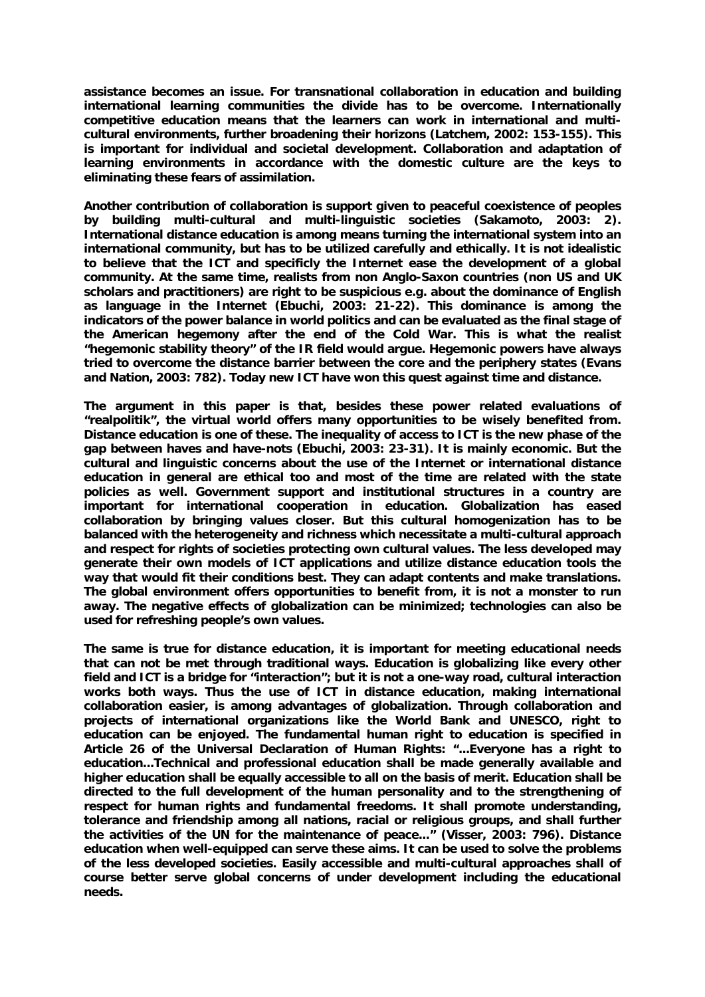**assistance becomes an issue. For transnational collaboration in education and building international learning communities the divide has to be overcome. Internationally competitive education means that the learners can work in international and multicultural environments, further broadening their horizons (Latchem, 2002: 153-155). This is important for individual and societal development. Collaboration and adaptation of learning environments in accordance with the domestic culture are the keys to eliminating these fears of assimilation.** 

**Another contribution of collaboration is support given to peaceful coexistence of peoples by building multi-cultural and multi-linguistic societies (Sakamoto, 2003: 2). International distance education is among means turning the international system into an international community, but has to be utilized carefully and ethically. It is not idealistic to believe that the ICT and specificly the Internet ease the development of a global community. At the same time, realists from non Anglo-Saxon countries (non US and UK scholars and practitioners) are right to be suspicious e.g. about the dominance of English as language in the Internet (Ebuchi, 2003: 21-22). This dominance is among the indicators of the power balance in world politics and can be evaluated as the final stage of the American hegemony after the end of the Cold War. This is what the realist "hegemonic stability theory" of the IR field would argue. Hegemonic powers have always tried to overcome the distance barrier between the core and the periphery states (Evans and Nation, 2003: 782). Today new ICT have won this quest against time and distance.** 

**The argument in this paper is that, besides these power related evaluations of "realpolitik", the virtual world offers many opportunities to be wisely benefited from. Distance education is one of these. The inequality of access to ICT is the new phase of the gap between haves and have-nots (Ebuchi, 2003: 23-31). It is mainly economic. But the cultural and linguistic concerns about the use of the Internet or international distance education in general are ethical too and most of the time are related with the state policies as well. Government support and institutional structures in a country are important for international cooperation in education. Globalization has eased collaboration by bringing values closer. But this cultural homogenization has to be balanced with the heterogeneity and richness which necessitate a multi-cultural approach and respect for rights of societies protecting own cultural values. The less developed may generate their own models of ICT applications and utilize distance education tools the way that would fit their conditions best. They can adapt contents and make translations. The global environment offers opportunities to benefit from, it is not a monster to run away. The negative effects of globalization can be minimized; technologies can also be used for refreshing people's own values.** 

**The same is true for distance education, it is important for meeting educational needs that can not be met through traditional ways. Education is globalizing like every other field and ICT is a bridge for "interaction"; but it is not a one-way road, cultural interaction works both ways. Thus the use of ICT in distance education, making international collaboration easier, is among advantages of globalization. Through collaboration and projects of international organizations like the World Bank and UNESCO, right to education can be enjoyed. The fundamental human right to education is specified in Article 26 of the Universal Declaration of Human Rights: "...Everyone has a right to education...Technical and professional education shall be made generally available and higher education shall be equally accessible to all on the basis of merit. Education shall be directed to the full development of the human personality and to the strengthening of respect for human rights and fundamental freedoms. It shall promote understanding, tolerance and friendship among all nations, racial or religious groups, and shall further the activities of the UN for the maintenance of peace..." (Visser, 2003: 796). Distance education when well-equipped can serve these aims. It can be used to solve the problems of the less developed societies. Easily accessible and multi-cultural approaches shall of course better serve global concerns of under development including the educational needs.**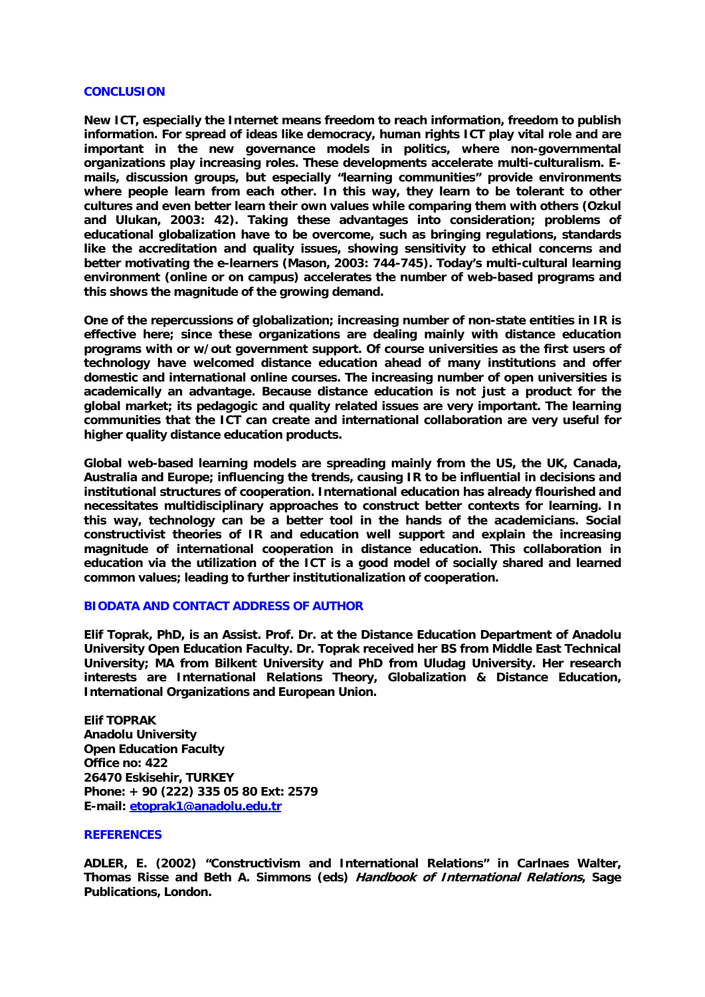#### **CONCLUSION**

**New ICT, especially the Internet means freedom to reach information, freedom to publish information. For spread of ideas like democracy, human rights ICT play vital role and are important in the new governance models in politics, where non-governmental organizations play increasing roles. These developments accelerate multi-culturalism. Emails, discussion groups, but especially "learning communities" provide environments where people learn from each other. In this way, they learn to be tolerant to other cultures and even better learn their own values while comparing them with others (Ozkul and Ulukan, 2003: 42). Taking these advantages into consideration; problems of educational globalization have to be overcome, such as bringing regulations, standards like the accreditation and quality issues, showing sensitivity to ethical concerns and better motivating the e-learners (Mason, 2003: 744-745). Today's multi-cultural learning environment (online or on campus) accelerates the number of web-based programs and this shows the magnitude of the growing demand.** 

**One of the repercussions of globalization; increasing number of non-state entities in IR is effective here; since these organizations are dealing mainly with distance education programs with or w/out government support. Of course universities as the first users of technology have welcomed distance education ahead of many institutions and offer domestic and international online courses. The increasing number of open universities is academically an advantage. Because distance education is not just a product for the global market; its pedagogic and quality related issues are very important. The learning communities that the ICT can create and international collaboration are very useful for higher quality distance education products.** 

**Global web-based learning models are spreading mainly from the US, the UK, Canada, Australia and Europe; influencing the trends, causing IR to be influential in decisions and institutional structures of cooperation. International education has already flourished and necessitates multidisciplinary approaches to construct better contexts for learning. In this way, technology can be a better tool in the hands of the academicians. Social constructivist theories of IR and education well support and explain the increasing magnitude of international cooperation in distance education. This collaboration in education via the utilization of the ICT is a good model of socially shared and learned common values; leading to further institutionalization of cooperation.** 

# **BIODATA AND CONTACT ADDRESS OF AUTHOR**

**Elif Toprak, PhD, is an Assist. Prof. Dr. at the Distance Education Department of Anadolu University Open Education Faculty. Dr. Toprak received her BS from Middle East Technical University; MA from Bilkent University and PhD from Uludag University. Her research interests are International Relations Theory, Globalization & Distance Education, International Organizations and European Union.** 

**Elif TOPRAK Anadolu University Open Education Faculty Office no: 422 26470 Eskisehir, TURKEY Phone: + 90 (222) 335 05 80 Ext: 2579 E-mail: etoprak1@anadolu.edu.tr**

## **REFERENCES**

**ADLER, E. (2002) "Constructivism and International Relations" in Carlnaes Walter, Thomas Risse and Beth A. Simmons (eds) Handbook of International Relations, Sage Publications, London.**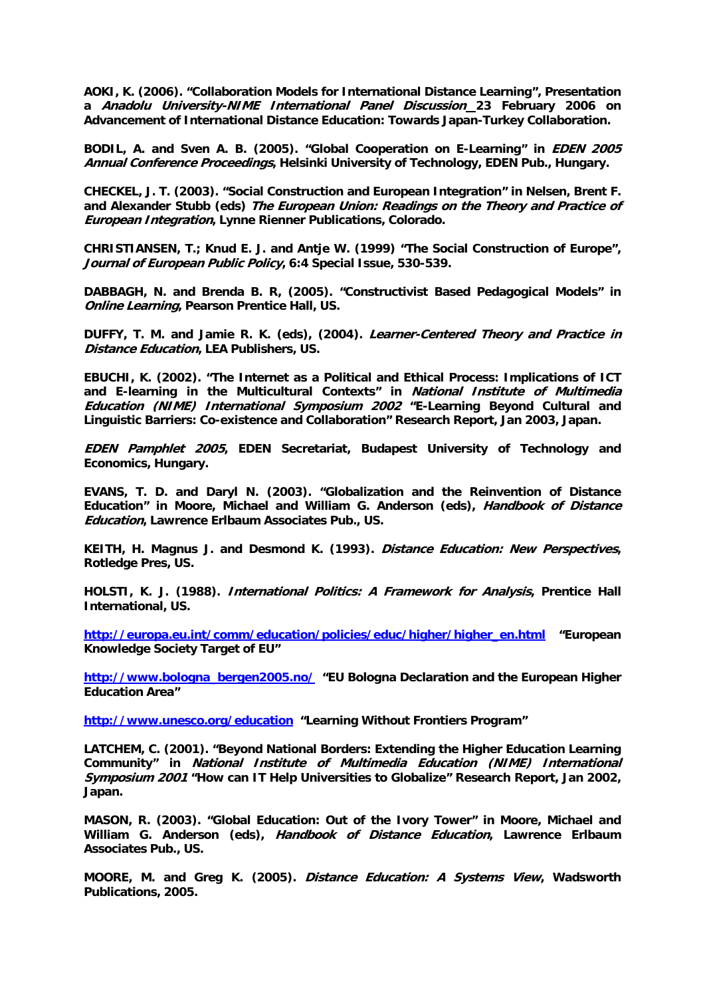**AOKI, K. (2006). "Collaboration Models for International Distance Learning", Presentation a Anadolu University-NIME International Panel Discussion 23 February 2006 on Advancement of International Distance Education: Towards Japan-Turkey Collaboration.** 

**BODIL, A. and Sven A. B. (2005). "Global Cooperation on E-Learning" in EDEN 2005 Annual Conference Proceedings, Helsinki University of Technology, EDEN Pub., Hungary.** 

**CHECKEL, J. T. (2003). "Social Construction and European Integration" in Nelsen, Brent F. and Alexander Stubb (eds) The European Union: Readings on the Theory and Practice of European Integration, Lynne Rienner Publications, Colorado.** 

**CHRISTIANSEN, T.; Knud E. J. and Antje W. (1999) "The Social Construction of Europe", Journal of European Public Policy, 6:4 Special Issue, 530-539.** 

**DABBAGH, N. and Brenda B. R, (2005). "Constructivist Based Pedagogical Models" in Online Learning, Pearson Prentice Hall, US.** 

**DUFFY, T. M. and Jamie R. K. (eds), (2004). Learner-Centered Theory and Practice in Distance Education, LEA Publishers, US.** 

**EBUCHI, K. (2002). "The Internet as a Political and Ethical Process: Implications of ICT and E-learning in the Multicultural Contexts" in National Institute of Multimedia Education (NIME) International Symposium 2002 "E-Learning Beyond Cultural and Linguistic Barriers: Co-existence and Collaboration" Research Report, Jan 2003, Japan.** 

**EDEN Pamphlet 2005, EDEN Secretariat, Budapest University of Technology and Economics, Hungary.** 

**EVANS, T. D. and Daryl N. (2003). "Globalization and the Reinvention of Distance Education" in Moore, Michael and William G. Anderson (eds), Handbook of Distance Education, Lawrence Erlbaum Associates Pub., US.** 

**KEITH, H. Magnus J. and Desmond K. (1993). Distance Education: New Perspectives, Rotledge Pres, US.** 

**HOLSTI, K. J. (1988). International Politics: A Framework for Analysis, Prentice Hall International, US.** 

**http://europa.eu.int/comm/education/policies/educ/higher/higher\_en.html "European Knowledge Society Target of EU"** 

**http://www.bologna\_bergen2005.no/ "EU Bologna Declaration and the European Higher Education Area"** 

**http://www.unesco.org/education "Learning Without Frontiers Program"** 

**LATCHEM, C. (2001). "Beyond National Borders: Extending the Higher Education Learning Community" in National Institute of Multimedia Education (NIME) International Symposium 2001 "How can IT Help Universities to Globalize" Research Report, Jan 2002, Japan.** 

**MASON, R. (2003). "Global Education: Out of the Ivory Tower" in Moore, Michael and William G. Anderson (eds), Handbook of Distance Education, Lawrence Erlbaum Associates Pub., US.** 

**MOORE, M. and Greg K. (2005). Distance Education: A Systems View, Wadsworth Publications, 2005.**